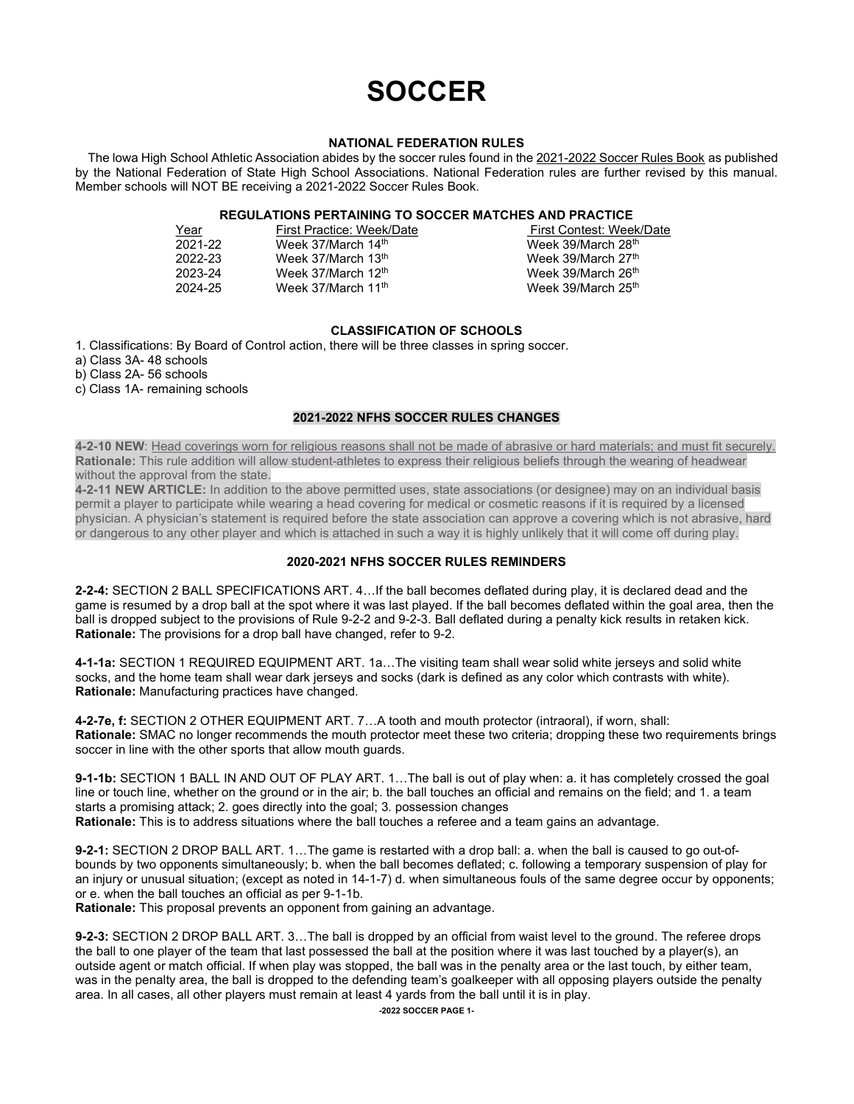# **SOCCER**

#### NATIONAL FEDERATION RULES

 The lowa High School Athletic Association abides by the soccer rules found in the 2021-2022 Soccer Rules Book as published by the National Federation of State High School Associations. National Federation rules are further revised by this manual. Member schools will NOT BE receiving a 2021-2022 Soccer Rules Book.

# REGULATIONS PERTAINING TO SOCCER MATCHES AND PRACTICE

| First Practice: Week/Date      | First Contest: Week/Date       |
|--------------------------------|--------------------------------|
| Week 37/March 14th             | Week 39/March 28th             |
| Week 37/March 13th             | Week 39/March 27th             |
| Week 37/March 12th             | Week 39/March 26 <sup>th</sup> |
| Week 37/March 11 <sup>th</sup> | Week 39/March 25th             |
|                                |                                |

## CLASSIFICATION OF SCHOOLS

1. Classifications: By Board of Control action, there will be three classes in spring soccer.

a) Class 3A- 48 schools

b) Class 2A- 56 schools

c) Class 1A- remaining schools

## 2021-2022 NFHS SOCCER RULES CHANGES

4-2-10 NEW: Head coverings worn for religious reasons shall not be made of abrasive or hard materials; and must fit securely. Rationale: This rule addition will allow student-athletes to express their religious beliefs through the wearing of headwear without the approval from the state.

4-2-11 NEW ARTICLE: In addition to the above permitted uses, state associations (or designee) may on an individual basis permit a player to participate while wearing a head covering for medical or cosmetic reasons if it is required by a licensed physician. A physician's statement is required before the state association can approve a covering which is not abrasive, hard or dangerous to any other player and which is attached in such a way it is highly unlikely that it will come off during play.

## 2020-2021 NFHS SOCCER RULES REMINDERS

2-2-4: SECTION 2 BALL SPECIFICATIONS ART. 4…If the ball becomes deflated during play, it is declared dead and the game is resumed by a drop ball at the spot where it was last played. If the ball becomes deflated within the goal area, then the ball is dropped subject to the provisions of Rule 9-2-2 and 9-2-3. Ball deflated during a penalty kick results in retaken kick. Rationale: The provisions for a drop ball have changed, refer to 9-2.

4-1-1a: SECTION 1 REQUIRED EQUIPMENT ART. 1a…The visiting team shall wear solid white jerseys and solid white socks, and the home team shall wear dark jerseys and socks (dark is defined as any color which contrasts with white). Rationale: Manufacturing practices have changed.

4-2-7e, f: SECTION 2 OTHER EQUIPMENT ART. 7…A tooth and mouth protector (intraoral), if worn, shall: Rationale: SMAC no longer recommends the mouth protector meet these two criteria; dropping these two requirements brings soccer in line with the other sports that allow mouth guards.

9-1-1b: SECTION 1 BALL IN AND OUT OF PLAY ART. 1…The ball is out of play when: a. it has completely crossed the goal line or touch line, whether on the ground or in the air; b. the ball touches an official and remains on the field; and 1. a team starts a promising attack; 2. goes directly into the goal; 3. possession changes Rationale: This is to address situations where the ball touches a referee and a team gains an advantage.

9-2-1: SECTION 2 DROP BALL ART. 1…The game is restarted with a drop ball: a. when the ball is caused to go out-ofbounds by two opponents simultaneously; b. when the ball becomes deflated; c. following a temporary suspension of play for an injury or unusual situation; (except as noted in 14-1-7) d. when simultaneous fouls of the same degree occur by opponents; or e. when the ball touches an official as per 9-1-1b.

Rationale: This proposal prevents an opponent from gaining an advantage.

9-2-3: SECTION 2 DROP BALL ART. 3…The ball is dropped by an official from waist level to the ground. The referee drops the ball to one player of the team that last possessed the ball at the position where it was last touched by a player(s), an outside agent or match official. If when play was stopped, the ball was in the penalty area or the last touch, by either team, was in the penalty area, the ball is dropped to the defending team's goalkeeper with all opposing players outside the penalty area. In all cases, all other players must remain at least 4 yards from the ball until it is in play.

-2022 SOCCER PAGE 1-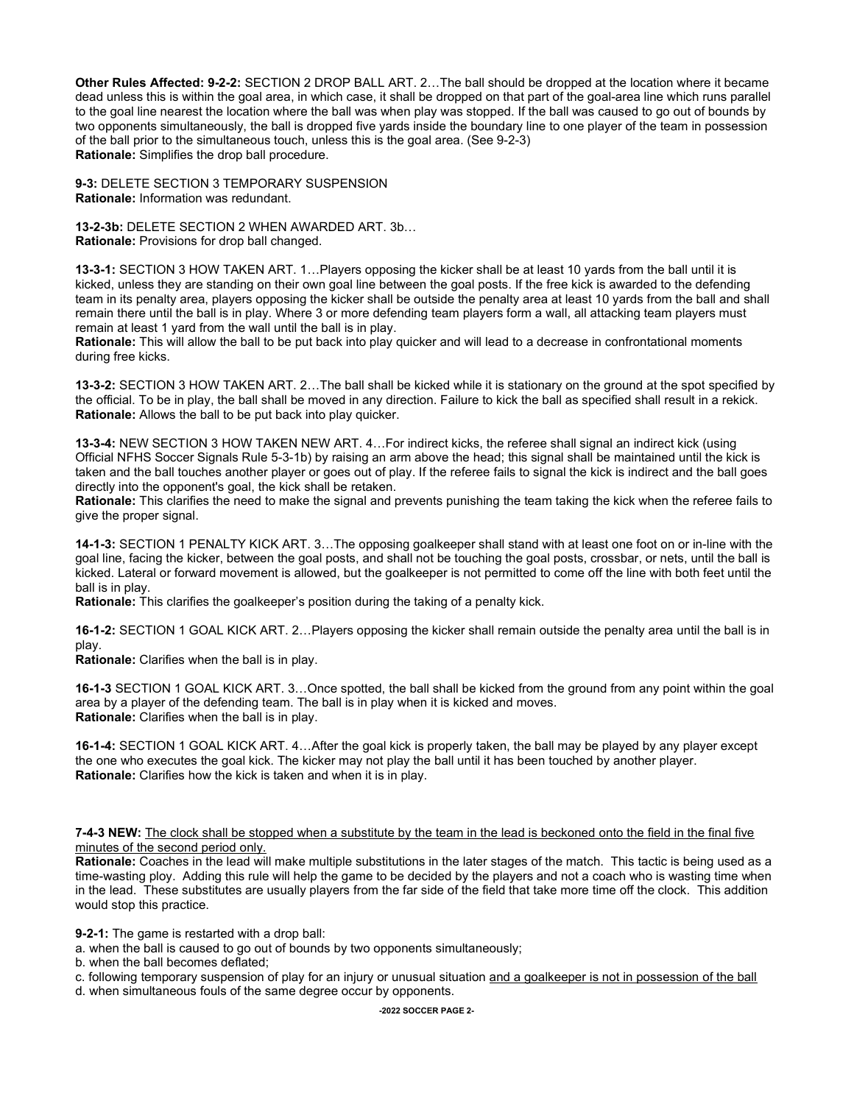Other Rules Affected: 9-2-2: SECTION 2 DROP BALL ART. 2…The ball should be dropped at the location where it became dead unless this is within the goal area, in which case, it shall be dropped on that part of the goal-area line which runs parallel to the goal line nearest the location where the ball was when play was stopped. If the ball was caused to go out of bounds by two opponents simultaneously, the ball is dropped five yards inside the boundary line to one player of the team in possession of the ball prior to the simultaneous touch, unless this is the goal area. (See 9-2-3) Rationale: Simplifies the drop ball procedure.

9-3: DELETE SECTION 3 TEMPORARY SUSPENSION Rationale: Information was redundant.

13-2-3b: DELETE SECTION 2 WHEN AWARDED ART. 3b… Rationale: Provisions for drop ball changed.

13-3-1: SECTION 3 HOW TAKEN ART. 1…Players opposing the kicker shall be at least 10 yards from the ball until it is kicked, unless they are standing on their own goal line between the goal posts. If the free kick is awarded to the defending team in its penalty area, players opposing the kicker shall be outside the penalty area at least 10 yards from the ball and shall remain there until the ball is in play. Where 3 or more defending team players form a wall, all attacking team players must remain at least 1 yard from the wall until the ball is in play.

Rationale: This will allow the ball to be put back into play quicker and will lead to a decrease in confrontational moments during free kicks.

13-3-2: SECTION 3 HOW TAKEN ART. 2…The ball shall be kicked while it is stationary on the ground at the spot specified by the official. To be in play, the ball shall be moved in any direction. Failure to kick the ball as specified shall result in a rekick. Rationale: Allows the ball to be put back into play quicker.

13-3-4: NEW SECTION 3 HOW TAKEN NEW ART. 4…For indirect kicks, the referee shall signal an indirect kick (using Official NFHS Soccer Signals Rule 5-3-1b) by raising an arm above the head; this signal shall be maintained until the kick is taken and the ball touches another player or goes out of play. If the referee fails to signal the kick is indirect and the ball goes directly into the opponent's goal, the kick shall be retaken.

Rationale: This clarifies the need to make the signal and prevents punishing the team taking the kick when the referee fails to give the proper signal.

14-1-3: SECTION 1 PENALTY KICK ART. 3…The opposing goalkeeper shall stand with at least one foot on or in-line with the goal line, facing the kicker, between the goal posts, and shall not be touching the goal posts, crossbar, or nets, until the ball is kicked. Lateral or forward movement is allowed, but the goalkeeper is not permitted to come off the line with both feet until the ball is in play.

Rationale: This clarifies the goalkeeper's position during the taking of a penalty kick.

16-1-2: SECTION 1 GOAL KICK ART. 2…Players opposing the kicker shall remain outside the penalty area until the ball is in play.

Rationale: Clarifies when the ball is in play.

16-1-3 SECTION 1 GOAL KICK ART. 3…Once spotted, the ball shall be kicked from the ground from any point within the goal area by a player of the defending team. The ball is in play when it is kicked and moves. Rationale: Clarifies when the ball is in play.

16-1-4: SECTION 1 GOAL KICK ART. 4…After the goal kick is properly taken, the ball may be played by any player except the one who executes the goal kick. The kicker may not play the ball until it has been touched by another player. Rationale: Clarifies how the kick is taken and when it is in play.

7-4-3 NEW: The clock shall be stopped when a substitute by the team in the lead is beckoned onto the field in the final five minutes of the second period only.

Rationale: Coaches in the lead will make multiple substitutions in the later stages of the match. This tactic is being used as a time-wasting ploy. Adding this rule will help the game to be decided by the players and not a coach who is wasting time when in the lead. These substitutes are usually players from the far side of the field that take more time off the clock. This addition would stop this practice.

9-2-1: The game is restarted with a drop ball:

a. when the ball is caused to go out of bounds by two opponents simultaneously;

b. when the ball becomes deflated;

c. following temporary suspension of play for an injury or unusual situation and a goalkeeper is not in possession of the ball

d. when simultaneous fouls of the same degree occur by opponents.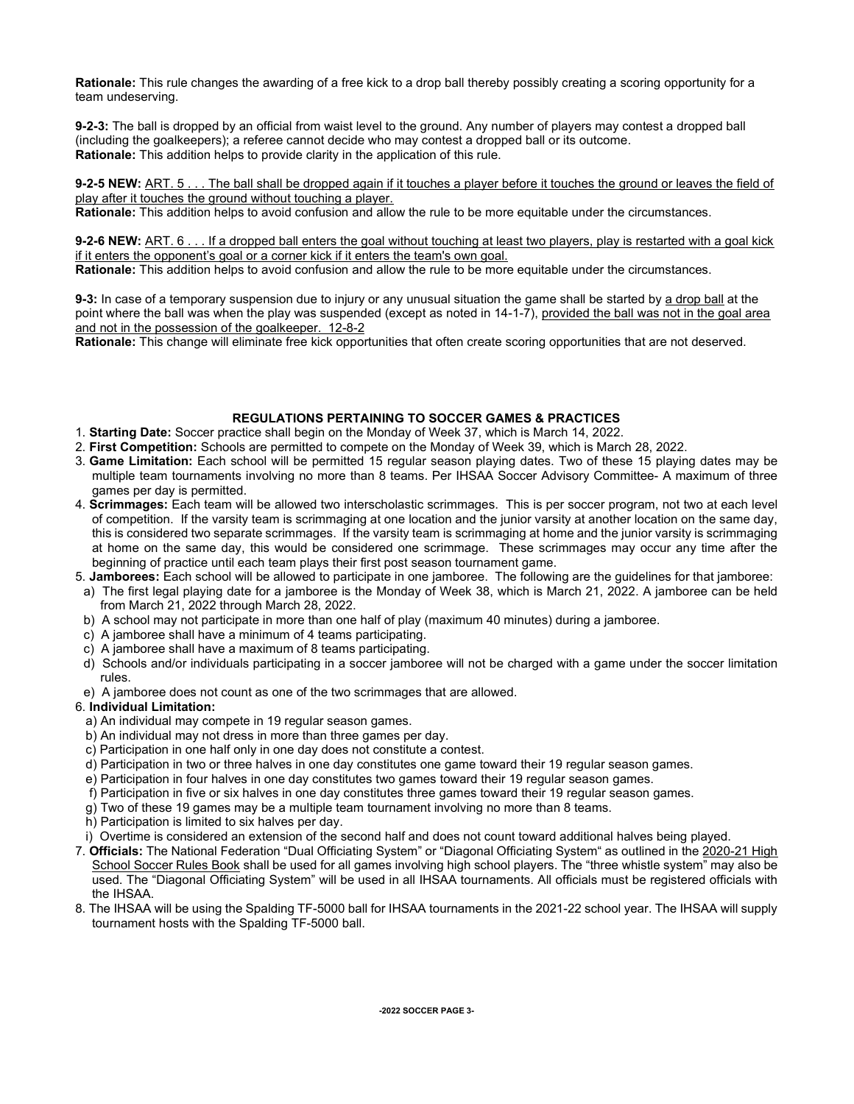Rationale: This rule changes the awarding of a free kick to a drop ball thereby possibly creating a scoring opportunity for a team undeserving.

9-2-3: The ball is dropped by an official from waist level to the ground. Any number of players may contest a dropped ball (including the goalkeepers); a referee cannot decide who may contest a dropped ball or its outcome. Rationale: This addition helps to provide clarity in the application of this rule.

9-2-5 NEW: ART. 5 . . . The ball shall be dropped again if it touches a player before it touches the ground or leaves the field of play after it touches the ground without touching a player.

Rationale: This addition helps to avoid confusion and allow the rule to be more equitable under the circumstances.

9-2-6 NEW: ART. 6 . . . If a dropped ball enters the goal without touching at least two players, play is restarted with a goal kick if it enters the opponent's goal or a corner kick if it enters the team's own goal.

Rationale: This addition helps to avoid confusion and allow the rule to be more equitable under the circumstances.

9-3: In case of a temporary suspension due to injury or any unusual situation the game shall be started by a drop ball at the point where the ball was when the play was suspended (except as noted in 14-1-7), provided the ball was not in the goal area and not in the possession of the goalkeeper. 12-8-2

Rationale: This change will eliminate free kick opportunities that often create scoring opportunities that are not deserved.

## REGULATIONS PERTAINING TO SOCCER GAMES & PRACTICES

- 1. Starting Date: Soccer practice shall begin on the Monday of Week 37, which is March 14, 2022.
- 2. First Competition: Schools are permitted to compete on the Monday of Week 39, which is March 28, 2022.
- 3. Game Limitation: Each school will be permitted 15 regular season playing dates. Two of these 15 playing dates may be multiple team tournaments involving no more than 8 teams. Per IHSAA Soccer Advisory Committee- A maximum of three games per day is permitted.
- 4. Scrimmages: Each team will be allowed two interscholastic scrimmages. This is per soccer program, not two at each level of competition. If the varsity team is scrimmaging at one location and the junior varsity at another location on the same day, this is considered two separate scrimmages. If the varsity team is scrimmaging at home and the junior varsity is scrimmaging at home on the same day, this would be considered one scrimmage. These scrimmages may occur any time after the beginning of practice until each team plays their first post season tournament game.
- 5. Jamborees: Each school will be allowed to participate in one jamboree. The following are the guidelines for that jamboree:
- a) The first legal playing date for a jamboree is the Monday of Week 38, which is March 21, 2022. A jamboree can be held from March 21, 2022 through March 28, 2022.
- b) A school may not participate in more than one half of play (maximum 40 minutes) during a jamboree.
- c) A jamboree shall have a minimum of 4 teams participating.
- c) A jamboree shall have a maximum of 8 teams participating.
- d) Schools and/or individuals participating in a soccer jamboree will not be charged with a game under the soccer limitation rules.
- e) A jamboree does not count as one of the two scrimmages that are allowed.

#### 6. Individual Limitation:

- a) An individual may compete in 19 regular season games.
- b) An individual may not dress in more than three games per day.
- c) Participation in one half only in one day does not constitute a contest.
- d) Participation in two or three halves in one day constitutes one game toward their 19 regular season games.
- e) Participation in four halves in one day constitutes two games toward their 19 regular season games.
- f) Participation in five or six halves in one day constitutes three games toward their 19 regular season games.
- g) Two of these 19 games may be a multiple team tournament involving no more than 8 teams.
- h) Participation is limited to six halves per day.
- i) Overtime is considered an extension of the second half and does not count toward additional halves being played.
- 7. Officials: The National Federation "Dual Officiating System" or "Diagonal Officiating System" as outlined in the 2020-21 High School Soccer Rules Book shall be used for all games involving high school players. The "three whistle system" may also be used. The "Diagonal Officiating System" will be used in all IHSAA tournaments. All officials must be registered officials with the IHSAA.
- 8. The IHSAA will be using the Spalding TF-5000 ball for IHSAA tournaments in the 2021-22 school year. The IHSAA will supply tournament hosts with the Spalding TF-5000 ball.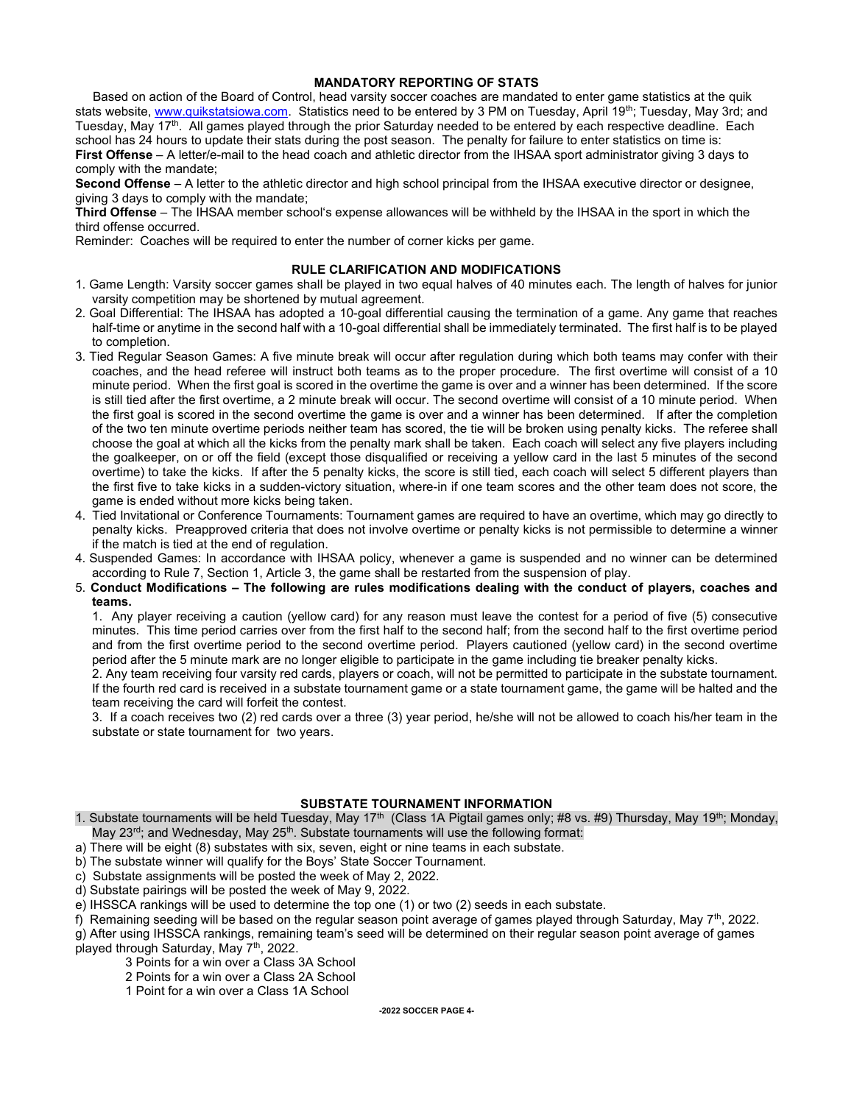#### MANDATORY REPORTING OF STATS

 Based on action of the Board of Control, head varsity soccer coaches are mandated to enter game statistics at the quik stats website, www.quikstatsiowa.com. Statistics need to be entered by 3 PM on Tuesday, April 19th; Tuesday, May 3rd; and Tuesday, May 17<sup>th</sup>. All games played through the prior Saturday needed to be entered by each respective deadline. Each school has 24 hours to update their stats during the post season. The penalty for failure to enter statistics on time is: First Offense – A letter/e-mail to the head coach and athletic director from the IHSAA sport administrator giving 3 days to comply with the mandate;

Second Offense – A letter to the athletic director and high school principal from the IHSAA executive director or designee, giving 3 days to comply with the mandate;

Third Offense – The IHSAA member school's expense allowances will be withheld by the IHSAA in the sport in which the third offense occurred.

Reminder: Coaches will be required to enter the number of corner kicks per game.

#### RULE CLARIFICATION AND MODIFICATIONS

- 1. Game Length: Varsity soccer games shall be played in two equal halves of 40 minutes each. The length of halves for junior varsity competition may be shortened by mutual agreement.
- 2. Goal Differential: The IHSAA has adopted a 10-goal differential causing the termination of a game. Any game that reaches half-time or anytime in the second half with a 10-goal differential shall be immediately terminated. The first half is to be played to completion.
- 3. Tied Regular Season Games: A five minute break will occur after regulation during which both teams may confer with their coaches, and the head referee will instruct both teams as to the proper procedure. The first overtime will consist of a 10 minute period. When the first goal is scored in the overtime the game is over and a winner has been determined. If the score is still tied after the first overtime, a 2 minute break will occur. The second overtime will consist of a 10 minute period. When the first goal is scored in the second overtime the game is over and a winner has been determined. If after the completion of the two ten minute overtime periods neither team has scored, the tie will be broken using penalty kicks. The referee shall choose the goal at which all the kicks from the penalty mark shall be taken. Each coach will select any five players including the goalkeeper, on or off the field (except those disqualified or receiving a yellow card in the last 5 minutes of the second overtime) to take the kicks. If after the 5 penalty kicks, the score is still tied, each coach will select 5 different players than the first five to take kicks in a sudden-victory situation, where-in if one team scores and the other team does not score, the game is ended without more kicks being taken.
- 4. Tied Invitational or Conference Tournaments: Tournament games are required to have an overtime, which may go directly to penalty kicks. Preapproved criteria that does not involve overtime or penalty kicks is not permissible to determine a winner if the match is tied at the end of regulation.
- 4. Suspended Games: In accordance with IHSAA policy, whenever a game is suspended and no winner can be determined according to Rule 7, Section 1, Article 3, the game shall be restarted from the suspension of play.
- 5. Conduct Modifications The following are rules modifications dealing with the conduct of players, coaches and teams.

 1. Any player receiving a caution (yellow card) for any reason must leave the contest for a period of five (5) consecutive minutes. This time period carries over from the first half to the second half; from the second half to the first overtime period and from the first overtime period to the second overtime period. Players cautioned (yellow card) in the second overtime period after the 5 minute mark are no longer eligible to participate in the game including tie breaker penalty kicks.

 2. Any team receiving four varsity red cards, players or coach, will not be permitted to participate in the substate tournament. If the fourth red card is received in a substate tournament game or a state tournament game, the game will be halted and the team receiving the card will forfeit the contest.

 3. If a coach receives two (2) red cards over a three (3) year period, he/she will not be allowed to coach his/her team in the substate or state tournament for two years.

## SUBSTATE TOURNAMENT INFORMATION

1. Substate tournaments will be held Tuesday, May 17<sup>th</sup> (Class 1A Pigtail games only; #8 vs. #9) Thursday, May 19<sup>th</sup>; Monday, May 23<sup>rd</sup>; and Wednesday, May 25<sup>th</sup>. Substate tournaments will use the following format:

- a) There will be eight (8) substates with six, seven, eight or nine teams in each substate.
- b) The substate winner will qualify for the Boys' State Soccer Tournament.
- c) Substate assignments will be posted the week of May 2, 2022.
- d) Substate pairings will be posted the week of May 9, 2022.
- e) IHSSCA rankings will be used to determine the top one (1) or two (2) seeds in each substate.

f) Remaining seeding will be based on the regular season point average of games played through Saturday, May  $7<sup>th</sup>$ , 2022.

g) After using IHSSCA rankings, remaining team's seed will be determined on their regular season point average of games

played through Saturday, May 7<sup>th</sup>, 2022.

- 3 Points for a win over a Class 3A School
- 2 Points for a win over a Class 2A School
- 1 Point for a win over a Class 1A School

-2022 SOCCER PAGE 4-